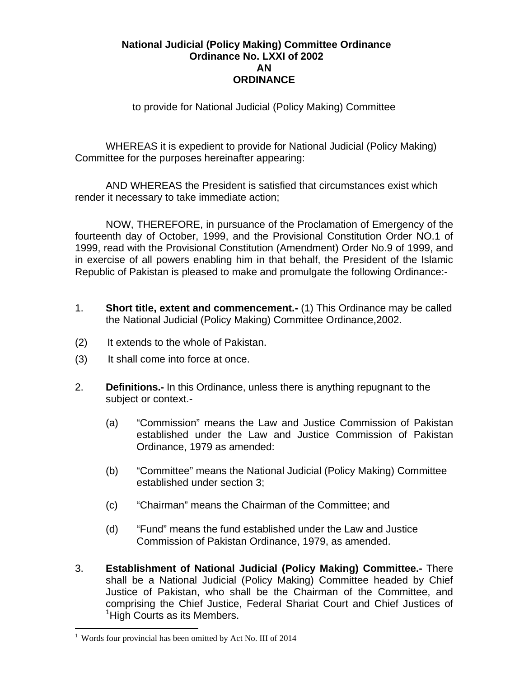## **National Judicial (Policy Making) Committee Ordinance Ordinance No. LXXI of 2002 AN ORDINANCE**

to provide for National Judicial (Policy Making) Committee

WHEREAS it is expedient to provide for National Judicial (Policy Making) Committee for the purposes hereinafter appearing:

AND WHEREAS the President is satisfied that circumstances exist which render it necessary to take immediate action;

NOW, THEREFORE, in pursuance of the Proclamation of Emergency of the fourteenth day of October, 1999, and the Provisional Constitution Order NO.1 of 1999, read with the Provisional Constitution (Amendment) Order No.9 of 1999, and in exercise of all powers enabling him in that behalf, the President of the Islamic Republic of Pakistan is pleased to make and promulgate the following Ordinance:-

- 1. **Short title, extent and commencement.-** (1) This Ordinance may be called the National Judicial (Policy Making) Committee Ordinance,2002.
- (2) It extends to the whole of Pakistan.
- (3) It shall come into force at once.
- 2. **Definitions.-** In this Ordinance, unless there is anything repugnant to the subject or context.-
	- (a) "Commission" means the Law and Justice Commission of Pakistan established under the Law and Justice Commission of Pakistan Ordinance, 1979 as amended:
	- (b) "Committee" means the National Judicial (Policy Making) Committee established under section 3;
	- (c) "Chairman" means the Chairman of the Committee; and
	- (d) "Fund" means the fund established under the Law and Justice Commission of Pakistan Ordinance, 1979, as amended.
- 3. **Establishment of National Judicial (Policy Making) Committee.-** There shall be a National Judicial (Policy Making) Committee headed by Chief Justice of Pakistan, who shall be the Chairman of the Committee, and comprising the Chief Justice, Federal Shariat Court and Chief Justices of <sup>1</sup>High Courts as its Members.

<u>.</u>

<sup>&</sup>lt;sup>1</sup> Words four provincial has been omitted by Act No. III of 2014